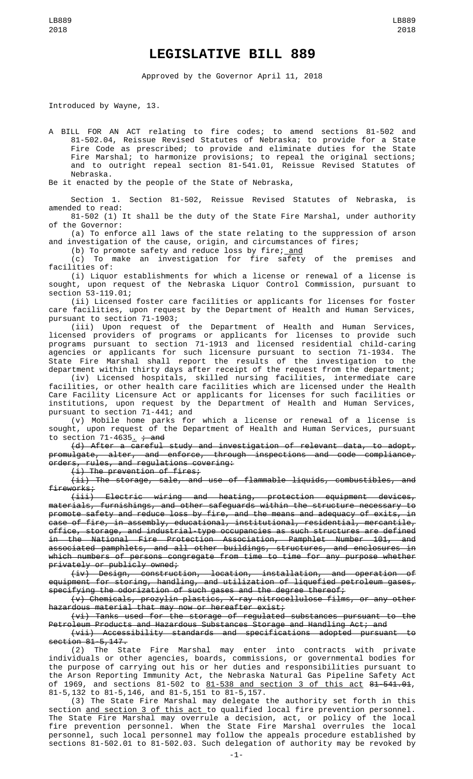## **LEGISLATIVE BILL 889**

Approved by the Governor April 11, 2018

Introduced by Wayne, 13.

A BILL FOR AN ACT relating to fire codes; to amend sections 81-502 and 81-502.04, Reissue Revised Statutes of Nebraska; to provide for a State Fire Code as prescribed; to provide and eliminate duties for the State Fire Marshal; to harmonize provisions; to repeal the original sections; and to outright repeal section 81-541.01, Reissue Revised Statutes of Nebraska.

Be it enacted by the people of the State of Nebraska,

Section 1. Section 81-502, Reissue Revised Statutes of Nebraska, is amended to read:

81-502 (1) It shall be the duty of the State Fire Marshal, under authority of the Governor:

(a) To enforce all laws of the state relating to the suppression of arson and investigation of the cause, origin, and circumstances of fires;

(b) To promote safety and reduce loss by fire; and

(c) To make an investigation for fire safety of the premises and facilities of:

(i) Liquor establishments for which a license or renewal of a license is sought, upon request of the Nebraska Liquor Control Commission, pursuant to section 53-119.01;

(ii) Licensed foster care facilities or applicants for licenses for foster care facilities, upon request by the Department of Health and Human Services, pursuant to section 71-1903;

(iii) Upon request of the Department of Health and Human Services, licensed providers of programs or applicants for licenses to provide such programs pursuant to section 71-1913 and licensed residential child-caring agencies or applicants for such licensure pursuant to section 71-1934. The State Fire Marshal shall report the results of the investigation to the department within thirty days after receipt of the request from the department;

(iv) Licensed hospitals, skilled nursing facilities, intermediate care facilities, or other health care facilities which are licensed under the Health Care Facility Licensure Act or applicants for licenses for such facilities or institutions, upon request by the Department of Health and Human Services, pursuant to section 71-441; and

(v) Mobile home parks for which a license or renewal of a license is sought, upon request of the Department of Health and Human Services, pursuant to section  $71-4635$ .  $\div$  and

(d) After a careful study and investigation of relevant data, to adopt, promulgate, alter, and enforce, through inspections and code compliance, orders, rules, and regulations covering:

(i) The prevention of fires;

(ii) The storage, sale, and use of flammable liquids, combustibles, and fireworks;

 $(i$ iii) Electric wiring and heating, protection equipment devices, materials, furnishings, and other safeguards within the structure necessary to promote safety and reduce loss by fire, and the means and adequacy of exits, in case of fire, in assembly, educational, institutional, residential, mercantile, office, storage, and industrial-type occupancies as such structures are defined in the National Fire Protection Association, Pamphlet Number 101, and associated pamphlets, and all other buildings, structures, and enclosures in which numbers of persons congregate from time to time for any purpose whether privately or publicly owned;

(iv) Design, construction, location, installation, and operation of equipment for storing, handling, and utilization of liquefied petroleum gases, specifying the odorization of such gases and the degree thereof;

(v) Chemicals, prozylin plastics, X-ray nitrocellulose films, or any other hazardous material that may now or hereafter exist;

(vi) Tanks used for the storage of regulated substances pursuant to the Petroleum Products and Hazardous Substances Storage and Handling Act; and

(vii) Accessibility standards and specifications adopted pursuant to section 81-5,147.

(2) The State Fire Marshal may enter into contracts with private individuals or other agencies, boards, commissions, or governmental bodies for the purpose of carrying out his or her duties and responsibilities pursuant to the Arson Reporting Immunity Act, the Nebraska Natural Gas Pipeline Safety Act of 1969, and sections 81-502 to <u>81-538 and section 3 of this act</u> <del>81-541.01</del>, 81-5,132 to 81-5,146, and 81-5,151 to 81-5,157.

(3) The State Fire Marshal may delegate the authority set forth in this section and section 3 of this act to qualified local fire prevention personnel. The State Fire Marshal may overrule a decision, act, or policy of the local fire prevention personnel. When the State Fire Marshal overrules the local personnel, such local personnel may follow the appeals procedure established by sections 81-502.01 to 81-502.03. Such delegation of authority may be revoked by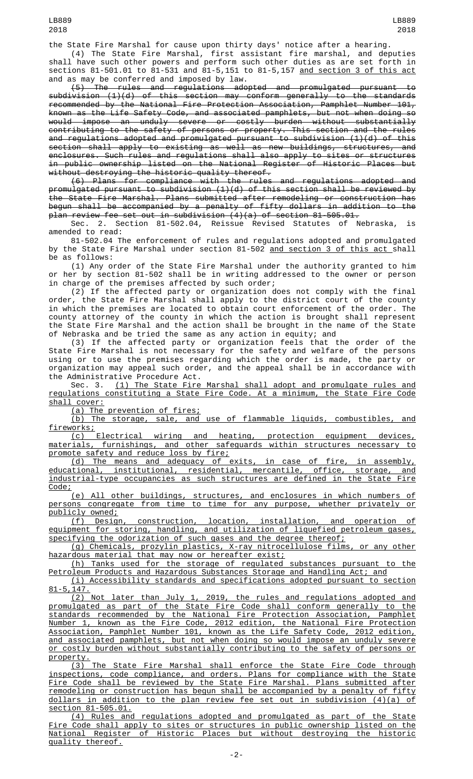the State Fire Marshal for cause upon thirty days' notice after a hearing.

(4) The State Fire Marshal, first assistant fire marshal, and deputies shall have such other powers and perform such other duties as are set forth in sections 81-501.01 to 81-531 and 81-5,151 to 81-5,157 and section 3 of this act and as may be conferred and imposed by law.

(5) The rules and regulations adopted and promulgated pursuant to subdivision (1)(d) of this section may conform generally to the standards recommended by the National Fire Protection Association, Pamphlet Number 101, known as the Life Safety Code, and associated pamphlets, but not when doing so would impose an unduly severe or costly burden without substantially contributing to the safety of persons or property. This section and the rules and regulations adopted and promulgated pursuant to subdivision (1)(d) of this section shall apply to existing as well as new buildings, structures, and enclosures. Such rules and regulations shall also apply to sites or structures in public ownership listed on the National Register of Historic Places but without destroying the historic quality thereof.

(6) Plans for compliance with the rules and regulations adopted and promulgated pursuant to subdivision (1)(d) of this section shall be reviewed by the State Fire Marshal. Plans submitted after remodeling or construction has begun shall be accompanied by a penalty of fifty dollars in addition to the plan review fee set out in subdivision (4)(a) of section 81-505.01.

Sec. 2. Section 81-502.04, Reissue Revised Statutes of Nebraska, is amended to read:

81-502.04 The enforcement of rules and regulations adopted and promulgated by the State Fire Marshal under section 81-502 and section 3 of this act shall be as follows:

(1) Any order of the State Fire Marshal under the authority granted to him or her by section 81-502 shall be in writing addressed to the owner or person in charge of the premises affected by such order;

(2) If the affected party or organization does not comply with the final order, the State Fire Marshal shall apply to the district court of the county in which the premises are located to obtain court enforcement of the order. The county attorney of the county in which the action is brought shall represent the State Fire Marshal and the action shall be brought in the name of the State of Nebraska and be tried the same as any action in equity; and

(3) If the affected party or organization feels that the order of the State Fire Marshal is not necessary for the safety and welfare of the persons using or to use the premises regarding which the order is made, the party or organization may appeal such order, and the appeal shall be in accordance with the Administrative Procedure Act.

Sec. 3. <u>(1) The State Fire Marshal shall adopt and promulgate rules and</u> regulations constituting a State Fire Code. At a minimum, the State Fire Code shall cover:

(a) The prevention of fires;

(b) The storage, sale, and use of flammable liquids, combustibles, and fireworks;

(c) Electrical wiring and heating, protection equipment devices, materials, furnishings, and other safeguards within structures necessary to promote safety and reduce loss by fire;

(d) The means and adequacy of exits, in case of fire, in assembly, educational, institutional, residential, mercantile, office, storage, and industrial-type occupancies as such structures are defined in the State Fire Code;

(e) All other buildings, structures, and enclosures in which numbers of persons congregate from time to time for any purpose, whether privately or publicly owned;

(f) Design, construction, location, installation, and operation of equipment for storing, handling, and utilization of liquefied petroleum gases, specifying the odorization of such gases and the degree thereof;

(g) Chemicals, prozylin plastics, X-ray nitrocellulose films, or any other hazardous material that may now or hereafter exist;

(h) Tanks used for the storage of regulated substances pursuant to the Petroleum Products and Hazardous Substances Storage and Handling Act; and

(i) Accessibility standards and specifications adopted pursuant to section  $5,147.$ 

(2) Not later than July 1, 2019, the rules and regulations adopted and promulgated as part of the State Fire Code shall conform generally to the standards recommended by the National Fire Protection Association, Pamphlet Number 1, known as the Fire Code, 2012 edition, the National Fire Protection Association, Pamphlet Number 101, known as the Life Safety Code, 2012 edition, and associated pamphlets, but not when doing so would impose an unduly severe or costly burden without substantially contributing to the safety of persons or property.

(3) The State Fire Marshal shall enforce the State Fire Code through inspections, code compliance, and orders. Plans for compliance with the State Fire Code shall be reviewed by the State Fire Marshal. Plans submitted after remodeling or construction has begun shall be accompanied by a penalty of fifty dollars in addition to the plan review fee set out in subdivision (4)(a) of section 81-505.01.

(4) Rules and regulations adopted and promulgated as part of the State Fire Code shall apply to sites or structures in public ownership listed on the National Register of Historic Places but without destroying the historic quality thereof.